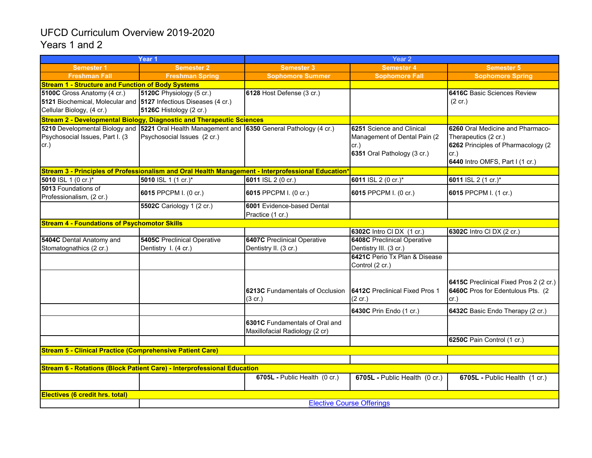## UFCD Curriculum Overview 2019-2020 Years 1 and 2

| Year 1                                                           |                                                                                                    | Year 2                                 |                                       |                                        |  |  |  |  |
|------------------------------------------------------------------|----------------------------------------------------------------------------------------------------|----------------------------------------|---------------------------------------|----------------------------------------|--|--|--|--|
| Semester 1                                                       | <b>Semester 2</b>                                                                                  | <b>Semester 3</b>                      | <b>Semester 4</b>                     | <b>Semester 5</b>                      |  |  |  |  |
| <b>Freshman Fall</b>                                             | <b>Freshman Spring</b>                                                                             | <b>Sophomore Summer</b>                | <b>Sophomore Fall</b>                 | <b>Sophomore Spring</b>                |  |  |  |  |
| <b>Stream 1 - Structure and Function of Body Systems</b>         |                                                                                                    |                                        |                                       |                                        |  |  |  |  |
| 5100C Gross Anatomy (4 cr.)                                      | 5120C Physiology (5 cr.)                                                                           | 6128 Host Defense (3 cr.)              |                                       | <b>6416C Basic Sciences Review</b>     |  |  |  |  |
| 5121 Biochemical, Molecular and 5127 Infectious Diseases (4 cr.) |                                                                                                    |                                        |                                       | $(2 \text{ cr.})$                      |  |  |  |  |
| Cellular Biology, (4 cr.)                                        | <b>5126C</b> Histology (2 cr.)                                                                     |                                        |                                       |                                        |  |  |  |  |
|                                                                  | <b>Stream 2 - Developmental Biology, Diagnostic and Therapeutic Sciences</b>                       |                                        |                                       |                                        |  |  |  |  |
|                                                                  | 5210 Developmental Biology and 5221 Oral Health Management and 6350 General Pathology (4 cr.)      |                                        | 6251 Science and Clinical             | 6260 Oral Medicine and Pharmaco-       |  |  |  |  |
| Psychosocial Issues, Part I. (3)                                 | Psychosocial Issues (2 cr.)                                                                        |                                        | Management of Dental Pain (2)         | Therapeutics (2 cr.)                   |  |  |  |  |
| cr.)                                                             |                                                                                                    |                                        | cr.)                                  | 6262 Principles of Pharmacology (2     |  |  |  |  |
|                                                                  |                                                                                                    |                                        | 6351 Oral Pathology (3 cr.)           | cr.)                                   |  |  |  |  |
|                                                                  |                                                                                                    |                                        |                                       | 6440 Intro OMFS, Part I (1 cr.)        |  |  |  |  |
|                                                                  | Stream 3 - Principles of Professionalism and Oral Health Management - Interprofessional Education* |                                        |                                       |                                        |  |  |  |  |
| 5010 ISL 1 (0 cr.)*                                              | 5010 ISL 1 (1 cr.)*                                                                                | 6011 ISL 2 (0 cr.)                     | 6011 ISL 2 (0 cr.)*                   | 6011 ISL 2 (1 cr.)*                    |  |  |  |  |
| 5013 Foundations of                                              | 6015 PPCPM I. (0 cr.)                                                                              | 6015 PPCPM I. (0 cr.)                  | 6015 PPCPM I. (0 cr.)                 | 6015 PPCPM I. (1 cr.)                  |  |  |  |  |
| Professionalism, (2 cr.)                                         |                                                                                                    |                                        |                                       |                                        |  |  |  |  |
|                                                                  | 5502C Cariology 1 (2 cr.)                                                                          | 6001 Evidence-based Dental             |                                       |                                        |  |  |  |  |
|                                                                  |                                                                                                    | Practice (1 cr.)                       |                                       |                                        |  |  |  |  |
| <b>Stream 4 - Foundations of Psychomotor Skills</b>              |                                                                                                    |                                        | 6302C Intro CI DX (1 cr.)             |                                        |  |  |  |  |
| 5404C Dental Anatomy and                                         | <b>5405C</b> Preclinical Operative                                                                 | <b>6407C</b> Preclinical Operative     | <b>6408C</b> Preclinical Operative    | 6302C Intro CI DX (2 cr.)              |  |  |  |  |
| Stomatognathics (2 cr.)                                          | Dentistry I. (4 cr.)                                                                               | Dentistry II. (3 cr.)                  | Dentistry III. (3 cr.)                |                                        |  |  |  |  |
|                                                                  |                                                                                                    |                                        | 6421C Perio Tx Plan & Disease         |                                        |  |  |  |  |
|                                                                  |                                                                                                    |                                        | Control (2 cr.)                       |                                        |  |  |  |  |
|                                                                  |                                                                                                    |                                        |                                       |                                        |  |  |  |  |
|                                                                  |                                                                                                    |                                        |                                       | 6415C Preclinical Fixed Pros 2 (2 cr.) |  |  |  |  |
|                                                                  |                                                                                                    | <b>6213C</b> Fundamentals of Occlusion | <b>6412C</b> Preclinical Fixed Pros 1 | 6460C Pros for Edentulous Pts. (2)     |  |  |  |  |
|                                                                  |                                                                                                    | $(3$ cr.)                              | $(2$ cr.)                             | cr.)                                   |  |  |  |  |
|                                                                  |                                                                                                    |                                        | 6430C Prin Endo (1 cr.)               | 6432C Basic Endo Therapy (2 cr.)       |  |  |  |  |
|                                                                  |                                                                                                    | 6301C Fundamentals of Oral and         |                                       |                                        |  |  |  |  |
|                                                                  |                                                                                                    | Maxillofacial Radiology (2 cr)         |                                       |                                        |  |  |  |  |
|                                                                  |                                                                                                    |                                        |                                       | 6250C Pain Control (1 cr.)             |  |  |  |  |
| <b>Stream 5 - Clinical Practice (Comprehensive Patient Care)</b> |                                                                                                    |                                        |                                       |                                        |  |  |  |  |
|                                                                  |                                                                                                    |                                        |                                       |                                        |  |  |  |  |
|                                                                  | Stream 6 - Rotations (Block Patient Care) - Interprofessional Education                            |                                        |                                       |                                        |  |  |  |  |
|                                                                  |                                                                                                    | 6705L - Public Health (0 cr.)          |                                       |                                        |  |  |  |  |
|                                                                  |                                                                                                    |                                        | 6705L - Public Health (0 cr.)         | 6705L - Public Health (1 cr.)          |  |  |  |  |
| <b>Electives (6 credit hrs. total)</b>                           |                                                                                                    |                                        |                                       |                                        |  |  |  |  |
|                                                                  | <b>Elective Course Offerings</b>                                                                   |                                        |                                       |                                        |  |  |  |  |